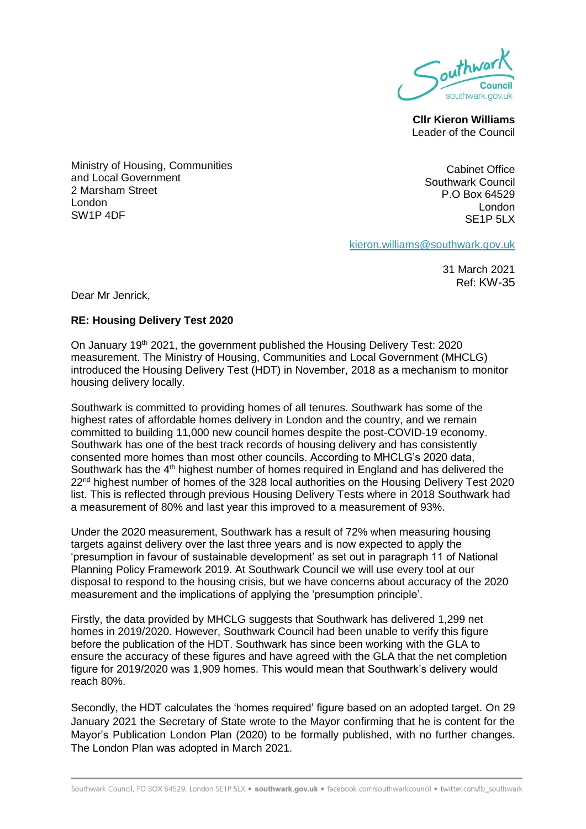

**Cllr Kieron Williams**  Leader of the Council

Ministry of Housing, Communities and Local Government 2 Marsham Street London SW1P 4DF

Cabinet Office Southwark Council P.O Box 64529 London  $S$ F<sub>1</sub>P  $5$ l  $X$ 

[kieron.williams@southwark.gov.uk](mailto:kieron.williams@southwark.gov.uk)

31 March 2021 Ref: KW-35

Dear Mr Jenrick,

## **RE: Housing Delivery Test 2020**

On January 19th 2021, the government published the Housing Delivery Test: 2020 measurement. The Ministry of Housing, Communities and Local Government (MHCLG) introduced the Housing Delivery Test (HDT) in November, 2018 as a mechanism to monitor housing delivery locally.

Southwark is committed to providing homes of all tenures. Southwark has some of the highest rates of affordable homes delivery in London and the country, and we remain committed to building 11,000 new council homes despite the post-COVID-19 economy. Southwark has one of the best track records of housing delivery and has consistently consented more homes than most other councils. According to MHCLG's 2020 data, Southwark has the 4<sup>th</sup> highest number of homes required in England and has delivered the 22<sup>nd</sup> highest number of homes of the 328 local authorities on the Housing Delivery Test 2020 list. This is reflected through previous Housing Delivery Tests where in 2018 Southwark had a measurement of 80% and last year this improved to a measurement of 93%.

Under the 2020 measurement, Southwark has a result of 72% when measuring housing targets against delivery over the last three years and is now expected to apply the 'presumption in favour of sustainable development' as set out in paragraph 11 of National Planning Policy Framework 2019. At Southwark Council we will use every tool at our disposal to respond to the housing crisis, but we have concerns about accuracy of the 2020 measurement and the implications of applying the 'presumption principle'.

Firstly, the data provided by MHCLG suggests that Southwark has delivered 1,299 net homes in 2019/2020. However, Southwark Council had been unable to verify this figure before the publication of the HDT. Southwark has since been working with the GLA to ensure the accuracy of these figures and have agreed with the GLA that the net completion figure for 2019/2020 was 1,909 homes. This would mean that Southwark's delivery would reach 80%.

Secondly, the HDT calculates the 'homes required' figure based on an adopted target. On 29 January 2021 the Secretary of State wrote to the Mayor confirming that he is content for the Mayor's Publication London Plan (2020) to be formally published, with no further changes. The London Plan was adopted in March 2021.